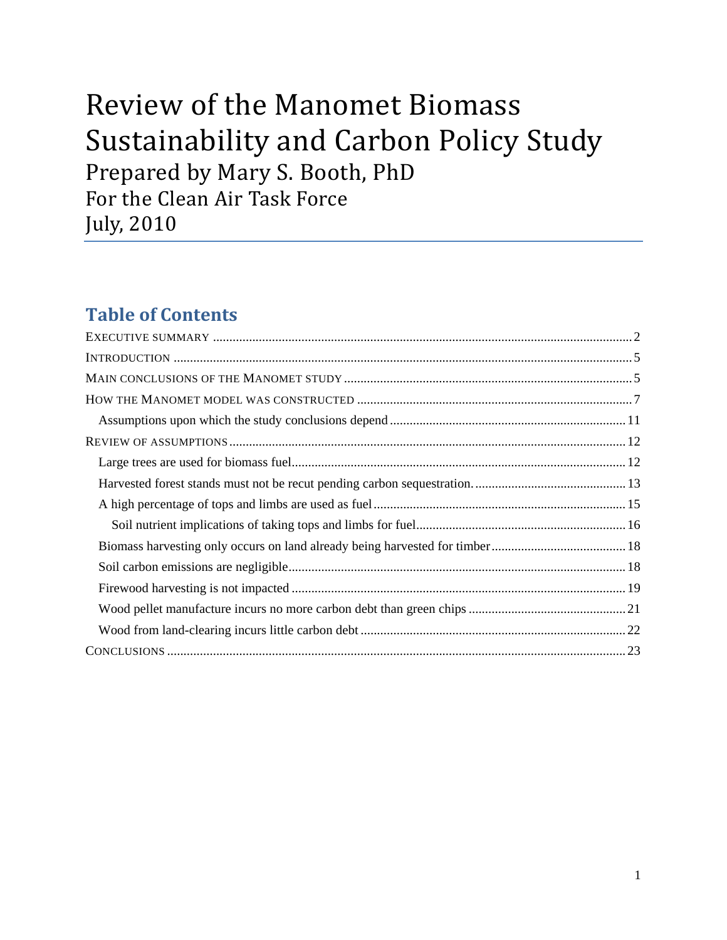# Review of the Manomet Biomass Sustainability and Carbon Policy Study Prepared by Mary S. Booth, PhD For the Clean Air Task Force July, 2010

## **Table of Contents**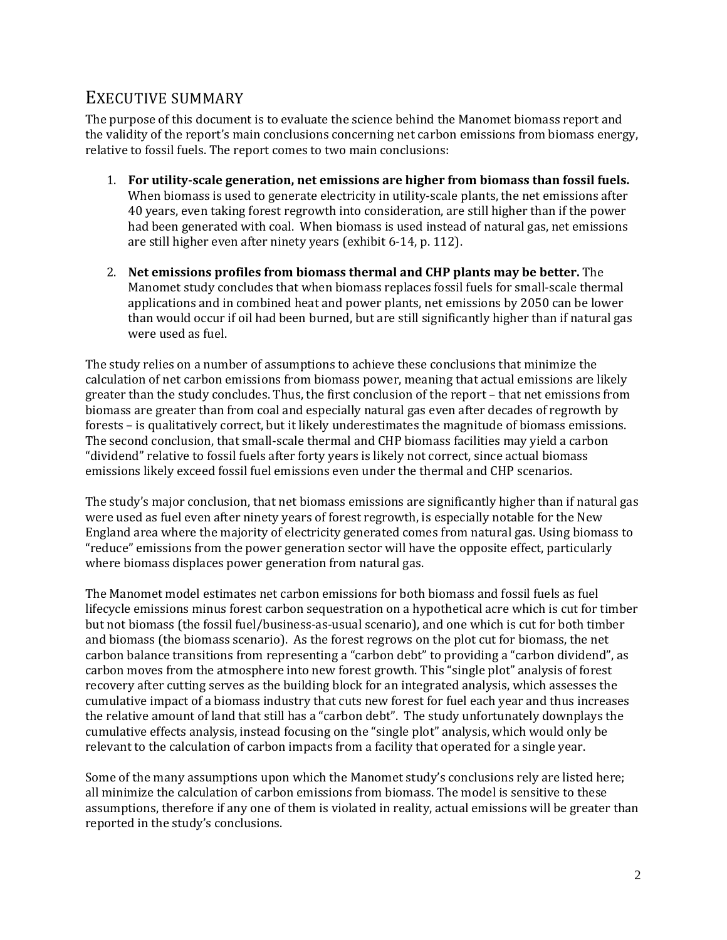## EXECUTIVE SUMMARY

The purpose of this document is to evaluate the science behind the Manomet biomass report and the validity of the report's main conclusions concerning net carbon emissions from biomass energy, relative to fossil fuels. The report comes to two main conclusions:

- 1. **For utilityscale generation, net emissions are higher from biomass than fossil fuels.** When biomass is used to generate electricity in utility-scale plants, the net emissions after 40 years, even taking forest regrowth into consideration, are still higher than if the power had been generated with coal. When biomass is used instead of natural gas, net emissions are still higher even after ninety years (exhibit 6‐14, p. 112).
- 2. **Net emissions profiles from biomass thermal and CHP plants may be better.** The Manomet study concludes that when biomass replaces fossil fuels for small‐scale thermal applications and in combined heat and power plants, net emissions by 2050 can be lower than would occur if oil had been burned, but are still significantly higher than if natural gas were used as fuel.

The study relies on a number of assumptions to achieve these conclusions that minimize the calculation of net carbon emissions from biomass power, meaning that actual emissions are likely greater than the study concludes. Thus, the first conclusion of the report – that net emissions from biomass are greater than from coal and especially natural gas even after decades of regrowth by forests – is qualitatively correct, but it likely underestimates the magnitude of biomass emissions. The second conclusion, that small‐scale thermal and CHP biomass facilities may yield a carbon "dividend" relative to fossil fuels after forty years is likely not correct, since actual biomass emissions likely exceed fossil fuel emissions even under the thermal and CHP scenarios.

The study's major conclusion, that net biomass emissions are significantly higher than if natural gas were used as fuel even after ninety years of forest regrowth, is especially notable for the New England area where the majority of electricity generated comes from natural gas. Using biomass to "reduce" emissions from the power generation sector will have the opposite effect, particularly where biomass displaces power generation from natural gas.

The Manomet model estimates net carbon emissions for both biomass and fossil fuels as fuel lifecycle emissions minus forest carbon sequestration on a hypothetical acre which is cut for timber but not biomass (the fossil fuel/business‐as‐usual scenario), and one which is cut for both timber and biomass (the biomass scenario). As the forest regrows on the plot cut for biomass, the net carbon balance transitions from representing a "carbon debt" to providing a "carbon dividend", as carbon moves from the atmosphere into new forest growth. This "single plot" analysis of forest recovery after cutting serves as the building block for an integrated analysis, which assesses the cumulative impact of a biomass industry that cuts new forest for fuel each year and thus increases the relative amount of land that still has a "carbon debt". The study unfortunately downplays the cumulative effects analysis, instead focusing on the "single plot" analysis, which would only be relevant to the calculation of carbon impacts from a facility that operated for a single year.

Some of the many assumptions upon which the Manomet study's conclusions rely are listed here; all minimize the calculation of carbon emissions from biomass. The model is sensitive to these assumptions, therefore if any one of them is violated in reality, actual emissions will be greater than reported in the study's conclusions.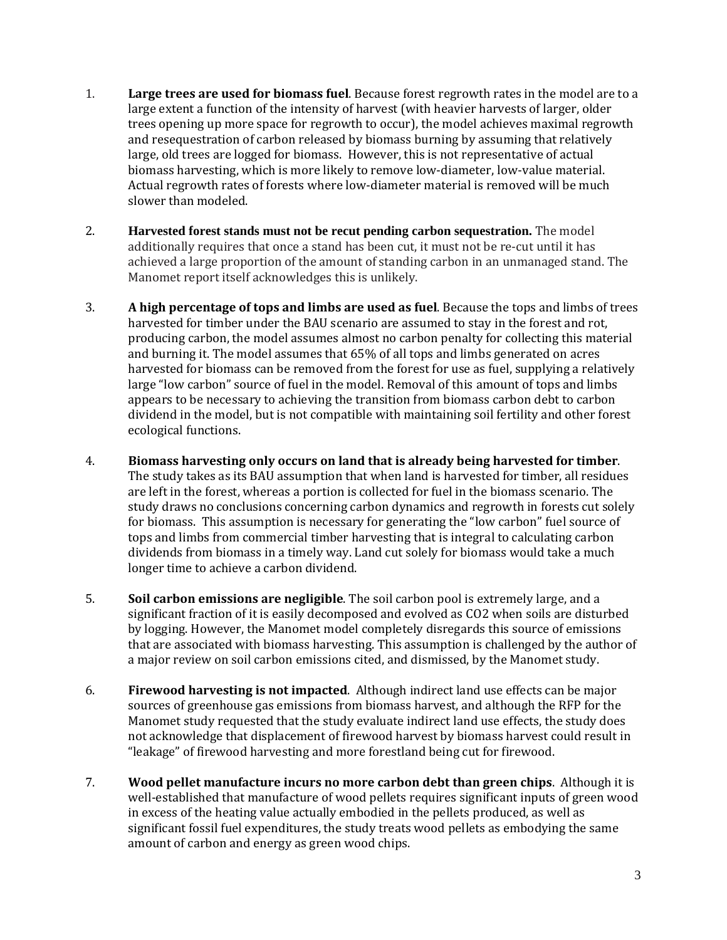- 1. **Large trees are used for biomass fuel**. Because forest regrowth rates in the model are to a large extent a function of the intensity of harvest (with heavier harvests of larger, older trees opening up more space for regrowth to occur), the model achieves maximal regrowth and resequestration of carbon released by biomass burning by assuming that relatively large, old trees are logged for biomass. However, this is not representative of actual biomass harvesting, which is more likely to remove low-diameter, low-value material. Actual regrowth rates of forests where low‐diameter material is removed will be much slower than modeled.
- 2. **Harvested forest stands must not be recut pending carbon sequestration.** The model additionally requires that once a stand has been cut, it must not be re‐cut until it has achieved a large proportion of the amount of standing carbon in an unmanaged stand. The Manomet report itself acknowledges this is unlikely.
- 3. **A high percentage of tops and limbs are used as fuel**. Because the tops and limbs of trees harvested for timber under the BAU scenario are assumed to stay in the forest and rot, producing carbon, the model assumes almost no carbon penalty for collecting this material and burning it. The model assumes that 65% of all tops and limbs generated on acres harvested for biomass can be removed from the forest for use as fuel, supplying a relatively large "low carbon" source of fuel in the model. Removal of this amount of tops and limbs appears to be necessary to achieving the transition from biomass carbon debt to carbon dividend in the model, but is not compatible with maintaining soil fertility and other forest ecological functions.
- 4. **Biomass harvesting only occurs on land that is already being harvested for timber**. The study takes as its BAU assumption that when land is harvested for timber, all residues are left in the forest, whereas a portion is collected for fuel in the biomass scenario. The study draws no conclusions concerning carbon dynamics and regrowth in forests cut solely for biomass. This assumption is necessary for generating the "low carbon" fuel source of tops and limbs from commercial timber harvesting that is integral to calculating carbon dividends from biomass in a timely way. Land cut solely for biomass would take a much longer time to achieve a carbon dividend.
- 5. **Soil carbon emissions are negligible**. The soil carbon pool is extremely large, and a significant fraction of it is easily decomposed and evolved as CO2 when soils are disturbed by logging. However, the Manomet model completely disregards this source of emissions that are associated with biomass harvesting. This assumption is challenged by the author of a major review on soil carbon emissions cited, and dismissed, by the Manomet study.
- 6. **Firewood harvesting is not impacted**. Although indirect land use effects can be major sources of greenhouse gas emissions from biomass harvest, and although the RFP for the Manomet study requested that the study evaluate indirect land use effects, the study does not acknowledge that displacement of firewood harvest by biomass harvest could result in "leakage" of firewood harvesting and more forestland being cut for firewood.
- 7. **Wood pellet manufacture incurs no more carbon debt than green chips**. Although it is well-established that manufacture of wood pellets requires significant inputs of green wood in excess of the heating value actually embodied in the pellets produced, as well as significant fossil fuel expenditures, the study treats wood pellets as embodying the same amount of carbon and energy as green wood chips.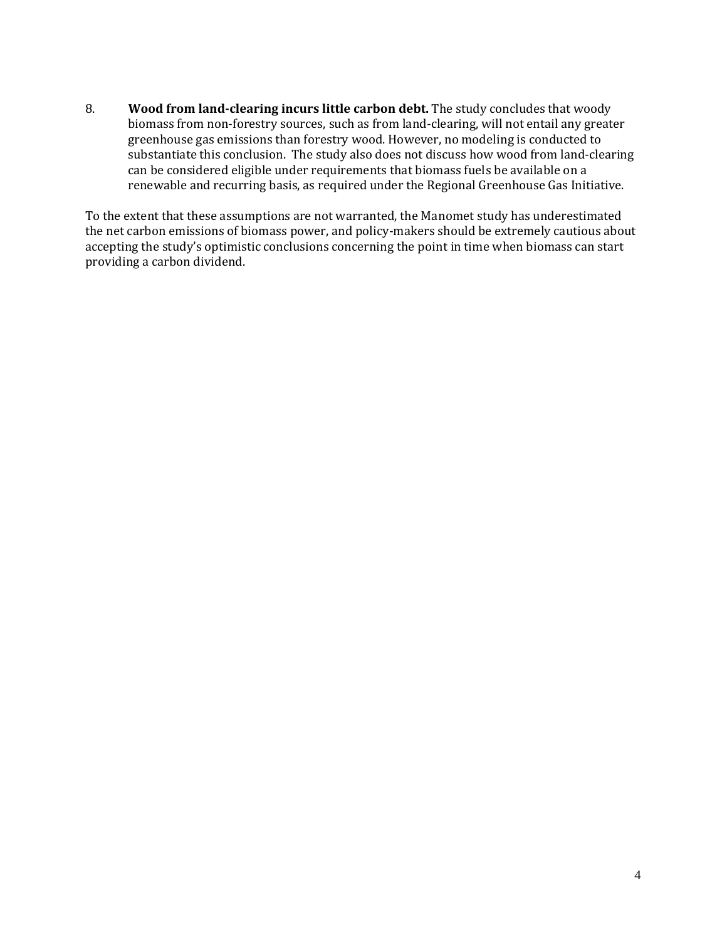8. **Wood from landclearing incurs little carbon debt.** The study concludes that woody biomass from non‐forestry sources, such as from land‐clearing, will not entail any greater greenhouse gas emissions than forestry wood. However, no modeling is conducted to substantiate this conclusion. The study also does not discuss how wood from land‐clearing can be considered eligible under requirements that biomass fuels be available on a renewable and recurring basis, as required under the Regional Greenhouse Gas Initiative.

To the extent that these assumptions are not warranted, the Manomet study has underestimated the net carbon emissions of biomass power, and policy-makers should be extremely cautious about accepting the study's optimistic conclusions concerning the point in time when biomass can start providing a carbon dividend.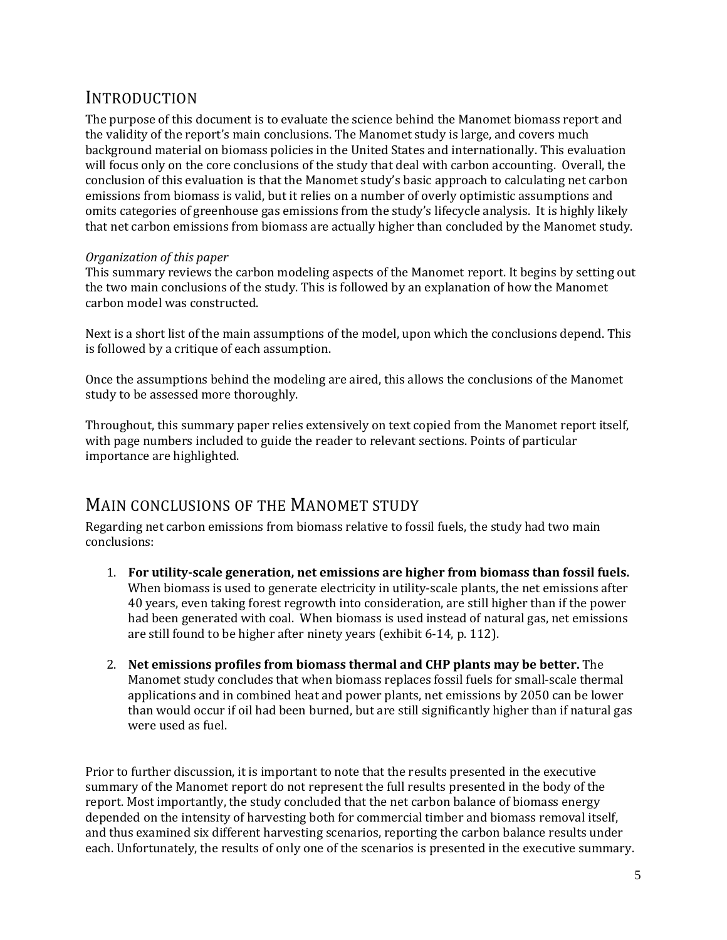## INTRODUCTION

The purpose of this document is to evaluate the science behind the Manomet biomass report and the validity of the report's main conclusions. The Manomet study is large, and covers much background material on biomass policies in the United States and internationally. This evaluation will focus only on the core conclusions of the study that deal with carbon accounting. Overall, the conclusion of this evaluation is that the Manomet study's basic approach to calculating net carbon emissions from biomass is valid, but it relies on a number of overly optimistic assumptions and omits categories of greenhouse gas emissions from the study's lifecycle analysis. It is highly likely that net carbon emissions from biomass are actually higher than concluded by the Manomet study.

#### *Organization of this paper*

This summary reviews the carbon modeling aspects of the Manomet report. It begins by setting out the two main conclusions of the study. This is followed by an explanation of how the Manomet carbon model was constructed.

Next is a short list of the main assumptions of the model, upon which the conclusions depend. This is followed by a critique of each assumption.

Once the assumptions behind the modeling are aired, this allows the conclusions of the Manomet study to be assessed more thoroughly.

Throughout, this summary paper relies extensively on text copied from the Manomet report itself, with page numbers included to guide the reader to relevant sections. Points of particular importance are highlighted.

## MAIN CONCLUSIONS OF THE MANOMET STUDY

Regarding net carbon emissions from biomass relative to fossil fuels, the study had two main conclusions:

- 1. **For utilityscale generation, net emissions are higher from biomass than fossil fuels.** When biomass is used to generate electricity in utility-scale plants, the net emissions after 40 years, even taking forest regrowth into consideration, are still higher than if the power had been generated with coal. When biomass is used instead of natural gas, net emissions are still found to be higher after ninety years (exhibit 6‐14, p. 112).
- 2. **Net emissions profiles from biomass thermal and CHP plants may be better.** The Manomet study concludes that when biomass replaces fossil fuels for small‐scale thermal applications and in combined heat and power plants, net emissions by 2050 can be lower than would occur if oil had been burned, but are still significantly higher than if natural gas were used as fuel.

Prior to further discussion, it is important to note that the results presented in the executive summary of the Manomet report do not represent the full results presented in the body of the report. Most importantly, the study concluded that the net carbon balance of biomass energy depended on the intensity of harvesting both for commercial timber and biomass removal itself, and thus examined six different harvesting scenarios, reporting the carbon balance results under each. Unfortunately, the results of only one of the scenarios is presented in the executive summary.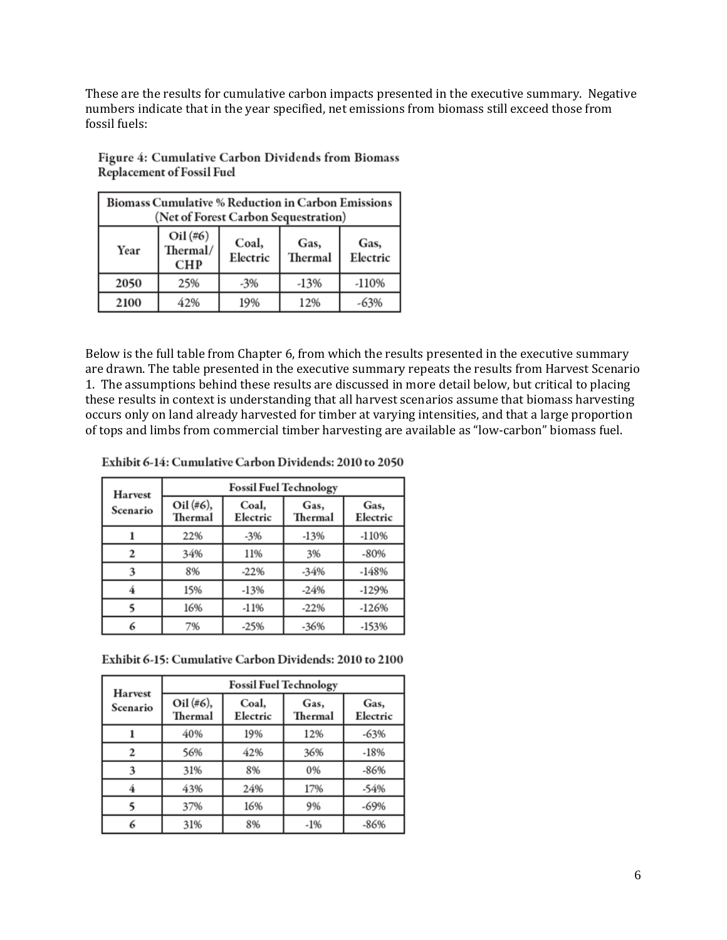These are the results for cumulative carbon impacts presented in the executive summary. Negative numbers indicate that in the year specified, net emissions from biomass still exceed those from fossil fuels:

| <b>Biomass Cumulative % Reduction in Carbon Emissions</b><br>(Net of Forest Carbon Sequestration) |                                      |                   |                 |                  |  |  |
|---------------------------------------------------------------------------------------------------|--------------------------------------|-------------------|-----------------|------------------|--|--|
| Year                                                                                              | $Oil$ (#6)<br>Thermal/<br><b>CHP</b> | Coal,<br>Electric | Gas,<br>Thermal | Gas,<br>Electric |  |  |
| 2050                                                                                              | 25%                                  | $-3%$             | $-13%$          | $-110%$          |  |  |
| 2100                                                                                              | 42%                                  | 19%               | 12%             | -63%             |  |  |

Figure 4: Cumulative Carbon Dividends from Biomass **Replacement of Fossil Fuel** 

Below is the full table from Chapter 6, from which the results presented in the executive summary are drawn. The table presented in the executive summary repeats the results from Harvest Scenario 1. The assumptions behind these results are discussed in more detail below, but critical to placing these results in context is understanding that all harvest scenarios assume that biomass harvesting occurs only on land already harvested for timber at varying intensities, and that a large proportion of tops and limbs from commercial timber harvesting are available as "low‐carbon" biomass fuel.

| <b>Harvest</b> | <b>Fossil Fuel Technology</b> |                   |                 |                  |
|----------------|-------------------------------|-------------------|-----------------|------------------|
| Scenario       | Oil (#6),<br>Thermal          | Coal,<br>Electric | Gas,<br>Thermal | Gas,<br>Electric |
|                | 22%                           | $-3%$             | $-13%$          | $-110%$          |
|                | 34%                           | 11%               | 3%              | -80%             |
|                | 8%                            | $-22%$            | $-34%$          | $-148%$          |
|                | 15%                           | $-13%$            | $-24%$          | $-129%$          |
|                | 16%                           | $-11%$            | $-22%$          | $-126%$          |
| 6              | 7%                            | $-25%$            | $-36%$          | $-153%$          |

Exhibit 6-15: Cumulative Carbon Dividends: 2010 to 2100

| <b>Harvest</b> | <b>Fossil Fuel Technology</b> |                   |                 |                  |
|----------------|-------------------------------|-------------------|-----------------|------------------|
| Scenario       | Oil (#6),<br>Thermal          | Coal,<br>Electric | Gas,<br>Thermal | Gas,<br>Electric |
|                | 40%                           | 19%               | 12%             | $-63%$           |
|                | 56%                           | 42%               | 36%             | $-18%$           |
|                | 31%                           | 8%                | 0%              | $-86%$           |
|                | 43%                           | 24%               | 17%             | $-54%$           |
|                | 37%                           | 16%               | 9%              | $-69%$           |
| 6              | 31%                           | 8%                | $-1%$           | $-86%$           |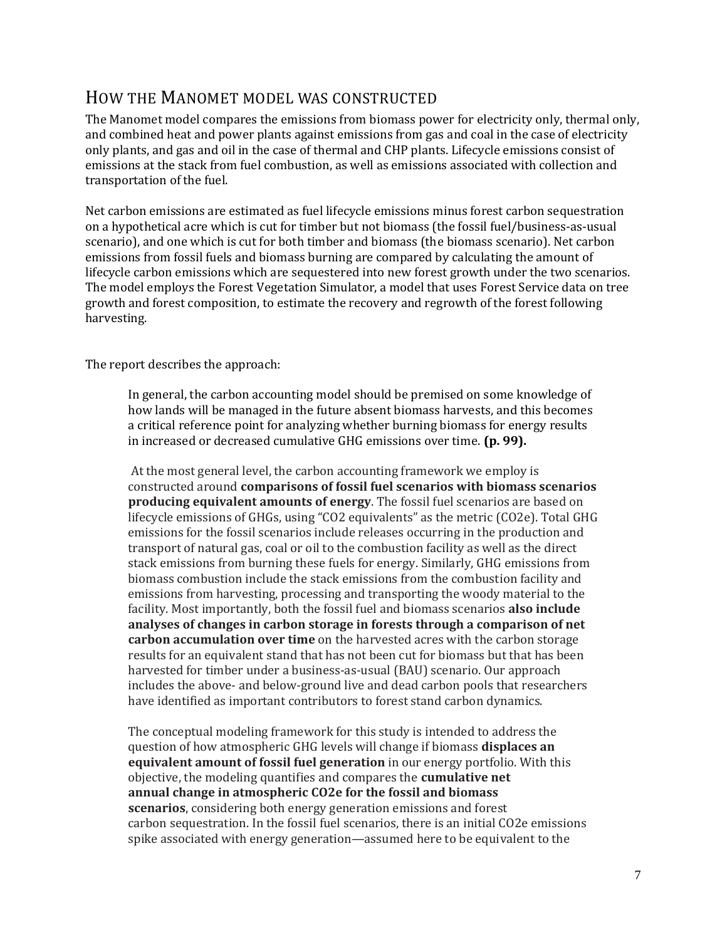## HOW THE MANOMET MODEL WAS CONSTRUCTED

The Manomet model compares the emissions from biomass power for electricity only, thermal only, and combined heat and power plants against emissions from gas and coal in the case of electricity only plants, and gas and oil in the case of thermal and CHP plants. Lifecycle emissions consist of emissions at the stack from fuel combustion, as well as emissions associated with collection and transportation of the fuel.

Net carbon emissions are estimated as fuel lifecycle emissions minus forest carbon sequestration on a hypothetical acre which is cut for timber but not biomass (the fossil fuel/business‐as‐usual scenario), and one which is cut for both timber and biomass (the biomass scenario). Net carbon emissions from fossil fuels and biomass burning are compared by calculating the amount of lifecycle carbon emissions which are sequestered into new forest growth under the two scenarios. The model employs the Forest Vegetation Simulator, a model that uses Forest Service data on tree growth and forest composition, to estimate the recovery and regrowth of the forest following harvesting.

The report describes the approach:

In general, the carbon accounting model should be premised on some knowledge of how lands will be managed in the future absent biomass harvests, and this becomes a critical reference point for analyzing whether burning biomass for energy results in increased or decreased cumulative GHG emissions over time. **(p. 99).**

At the most general level, the carbon accounting framework we employ is constructed around **comparisons of fossil fuel scenarios with biomass scenarios producing equivalent amounts of energy**. The fossil fuel scenarios are based on lifecycle emissions of GHGs, using "CO2 equivalents" as the metric (CO2e). Total GHG emissions for the fossil scenarios include releases occurring in the production and transport of natural gas, coal or oil to the combustion facility as well as the direct stack emissions from burning these fuels for energy. Similarly, GHG emissions from biomass combustion include the stack emissions from the combustion facility and emissions from harvesting, processing and transporting the woody material to the facility. Most importantly, both the fossil fuel and biomass scenarios **also include analyses of changes in carbon storage in forests through a comparison of net carbon accumulation over time** on the harvested acres with the carbon storage results for an equivalent stand that has not been cut for biomass but that has been harvested for timber under a business‐as‐usual (BAU) scenario. Our approach includes the above‐ and below‐ground live and dead carbon pools that researchers have identified as important contributors to forest stand carbon dynamics.

The conceptual modeling framework for this study is intended to address the question of how atmospheric GHG levels will change if biomass **displaces an equivalent amount of fossil fuel generation** in our energy portfolio. With this objective, the modeling quantifies and compares the **cumulative net annual change in atmospheric CO2e for the fossil and biomass scenarios**, considering both energy generation emissions and forest carbon sequestration. In the fossil fuel scenarios, there is an initial CO2e emissions spike associated with energy generation—assumed here to be equivalent to the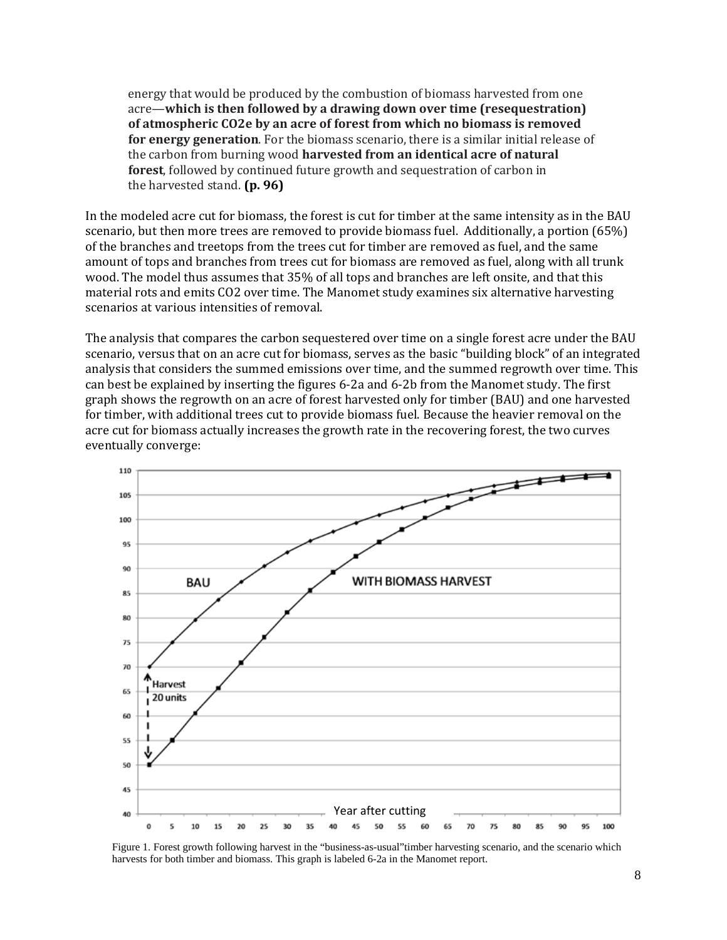energy that would be produced by the combustion of biomass harvested from one acre—**which is then followed by a drawing down over time (resequestration) of atmospheric CO2e by an acre of forest from which no biomass is removed for energy generation**. For the biomass scenario, there is a similar initial release of the carbon from burning wood **harvested from an identical acre of natural forest**, followed by continued future growth and sequestration of carbon in the harvested stand. **(p. 96)**

In the modeled acre cut for biomass, the forest is cut for timber at the same intensity as in the BAU scenario, but then more trees are removed to provide biomass fuel. Additionally, a portion (65%) of the branches and treetops from the trees cut for timber are removed as fuel, and the same amount of tops and branches from trees cut for biomass are removed as fuel, along with all trunk wood. The model thus assumes that 35% of all tops and branches are left onsite, and that this material rots and emits CO2 over time. The Manomet study examines six alternative harvesting scenarios at various intensities of removal.

The analysis that compares the carbon sequestered over time on a single forest acre under the BAU scenario, versus that on an acre cut for biomass, serves as the basic "building block" of an integrated analysis that considers the summed emissions over time, and the summed regrowth over time. This can best be explained by inserting the figures 6‐2a and 6‐2b from the Manomet study. The first graph shows the regrowth on an acre of forest harvested only for timber (BAU) and one harvested for timber, with additional trees cut to provide biomass fuel. Because the heavier removal on the acre cut for biomass actually increases the growth rate in the recovering forest, the two curves eventually converge:



Figure 1. Forest growth following harvest in the "business-as-usual"timber harvesting scenario, and the scenario which harvests for both timber and biomass. This graph is labeled 6-2a in the Manomet report.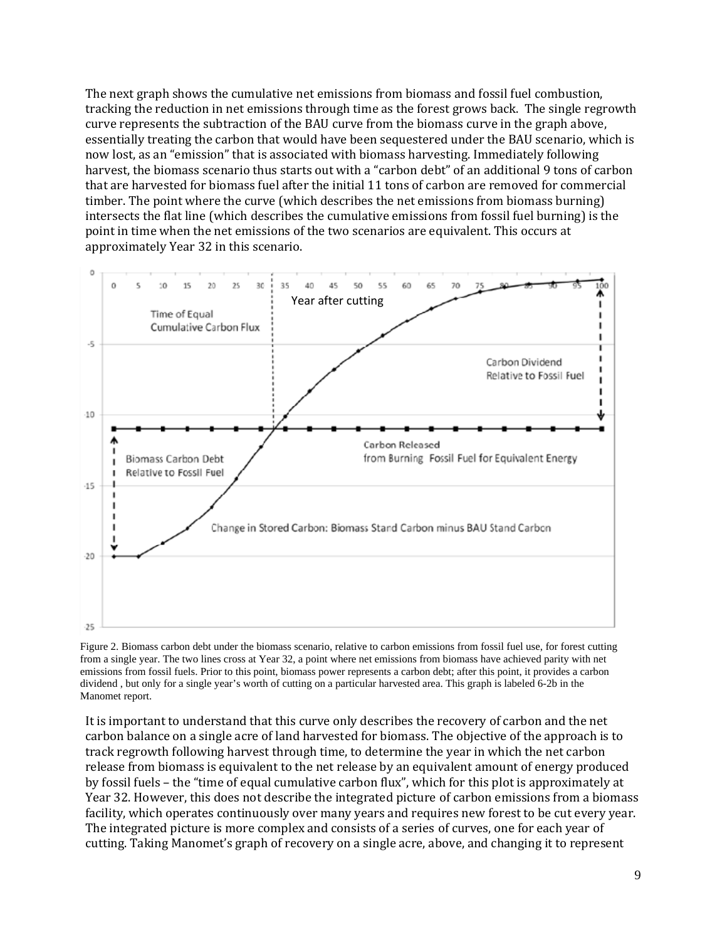The next graph shows the cumulative net emissions from biomass and fossil fuel combustion, tracking the reduction in net emissions through time as the forest grows back. The single regrowth curve represents the subtraction of the BAU curve from the biomass curve in the graph above, essentially treating the carbon that would have been sequestered under the BAU scenario, which is now lost, as an "emission" that is associated with biomass harvesting. Immediately following harvest, the biomass scenario thus starts out with a "carbon debt" of an additional 9 tons of carbon that are harvested for biomass fuel after the initial 11 tons of carbon are removed for commercial timber. The point where the curve (which describes the net emissions from biomass burning) intersects the flat line (which describes the cumulative emissions from fossil fuel burning) is the point in time when the net emissions of the two scenarios are equivalent. This occurs at approximately Year 32 in this scenario.



Figure 2. Biomass carbon debt under the biomass scenario, relative to carbon emissions from fossil fuel use, for forest cutting from a single year. The two lines cross at Year 32, a point where net emissions from biomass have achieved parity with net emissions from fossil fuels. Prior to this point, biomass power represents a carbon debt; after this point, it provides a carbon dividend , but only for a single year's worth of cutting on a particular harvested area. This graph is labeled 6-2b in the Manomet report.

It is important to understand that this curve only describes the recovery of carbon and the net carbon balance on a single acre of land harvested for biomass. The objective of the approach is to track regrowth following harvest through time, to determine the year in which the net carbon release from biomass is equivalent to the net release by an equivalent amount of energy produced by fossil fuels – the "time of equal cumulative carbon flux", which for this plot is approximately at Year 32. However, this does not describe the integrated picture of carbon emissions from a biomass facility, which operates continuously over many years and requires new forest to be cut every year. The integrated picture is more complex and consists of a series of curves, one for each year of cutting. Taking Manomet's graph of recovery on a single acre, above, and changing it to represent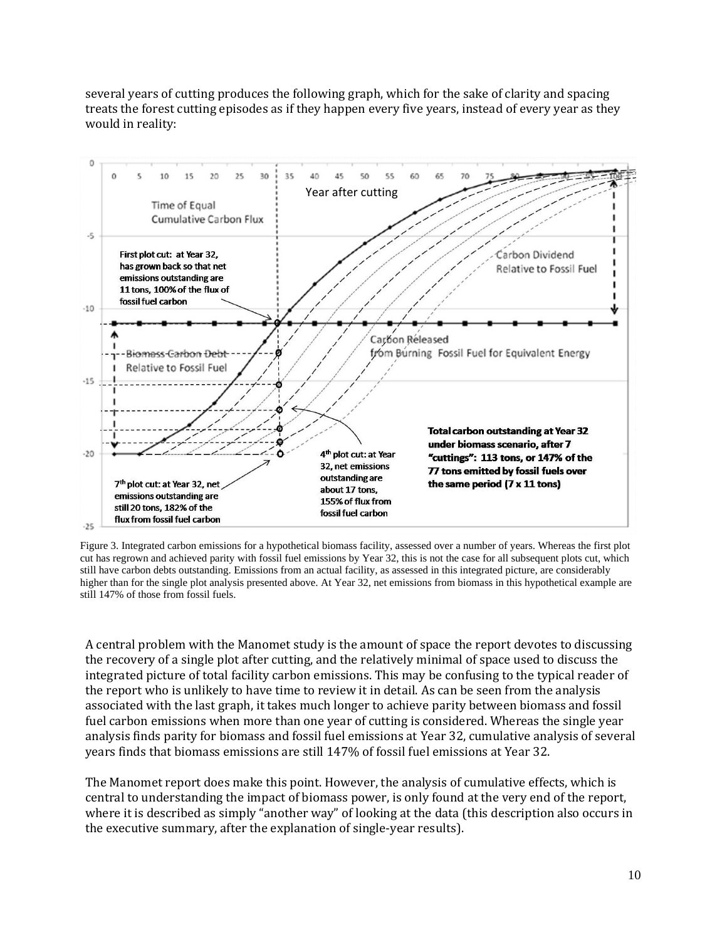several years of cutting produces the following graph, which for the sake of clarity and spacing treats the forest cutting episodes as if they happen every five years, instead of every year as they would in reality:



Figure 3. Integrated carbon emissions for a hypothetical biomass facility, assessed over a number of years. Whereas the first plot cut has regrown and achieved parity with fossil fuel emissions by Year 32, this is not the case for all subsequent plots cut, which still have carbon debts outstanding. Emissions from an actual facility, as assessed in this integrated picture, are considerably higher than for the single plot analysis presented above. At Year 32, net emissions from biomass in this hypothetical example are still 147% of those from fossil fuels.

A central problem with the Manomet study is the amount of space the report devotes to discussing the recovery of a single plot after cutting, and the relatively minimal of space used to discuss the integrated picture of total facility carbon emissions. This may be confusing to the typical reader of the report who is unlikely to have time to review it in detail. As can be seen from the analysis associated with the last graph, it takes much longer to achieve parity between biomass and fossil fuel carbon emissions when more than one year of cutting is considered. Whereas the single year analysis finds parity for biomass and fossil fuel emissions at Year 32, cumulative analysis of several years finds that biomass emissions are still 147% of fossil fuel emissions at Year 32.

The Manomet report does make this point. However, the analysis of cumulative effects, which is central to understanding the impact of biomass power, is only found at the very end of the report, where it is described as simply "another way" of looking at the data (this description also occurs in the executive summary, after the explanation of single‐year results).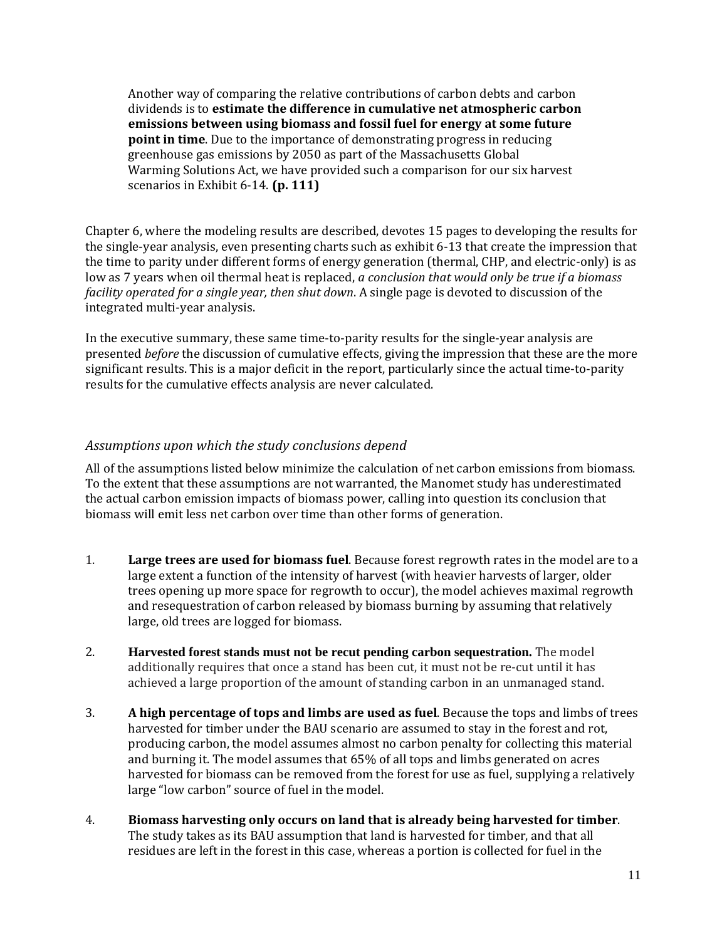Another way of comparing the relative contributions of carbon debts and carbon dividends is to **estimate the difference in cumulative net atmospheric carbon emissions between using biomass and fossil fuel for energy at some future point in time**. Due to the importance of demonstrating progress in reducing greenhouse gas emissions by 2050 as part of the Massachusetts Global Warming Solutions Act, we have provided such a comparison for our six harvest scenarios in Exhibit 6‐14. **(p. 111)**

Chapter 6, where the modeling results are described, devotes 15 pages to developing the results for the single‐year analysis, even presenting charts such as exhibit 6‐13 that create the impression that the time to parity under different forms of energy generation (thermal, CHP, and electric-only) is as low as 7 years when oil thermal heat is replaced, *a conclusion that would only be true if a biomass facility operated for a single year, then shut down*. A single page is devoted to discussion of the integrated multi‐year analysis.

In the executive summary, these same time‐to‐parity results for the single‐year analysis are presented *before* the discussion of cumulative effects, giving the impression that these are the more significant results. This is a major deficit in the report, particularly since the actual time‐to‐parity results for the cumulative effects analysis are never calculated.

#### *Assumptions upon which the study conclusions depend*

All of the assumptions listed below minimize the calculation of net carbon emissions from biomass. To the extent that these assumptions are not warranted, the Manomet study has underestimated the actual carbon emission impacts of biomass power, calling into question its conclusion that biomass will emit less net carbon over time than other forms of generation.

- 1. **Large trees are used for biomass fuel**. Because forest regrowth rates in the model are to a large extent a function of the intensity of harvest (with heavier harvests of larger, older trees opening up more space for regrowth to occur), the model achieves maximal regrowth and resequestration of carbon released by biomass burning by assuming that relatively large, old trees are logged for biomass.
- 2. **Harvested forest stands must not be recut pending carbon sequestration.** The model additionally requires that once a stand has been cut, it must not be re‐cut until it has achieved a large proportion of the amount of standing carbon in an unmanaged stand.
- 3. **A high percentage of tops and limbs are used as fuel**. Because the tops and limbs of trees harvested for timber under the BAU scenario are assumed to stay in the forest and rot, producing carbon, the model assumes almost no carbon penalty for collecting this material and burning it. The model assumes that 65% of all tops and limbs generated on acres harvested for biomass can be removed from the forest for use as fuel, supplying a relatively large "low carbon" source of fuel in the model.
- 4. **Biomass harvesting only occurs on land that is already being harvested for timber**. The study takes as its BAU assumption that land is harvested for timber, and that all residues are left in the forest in this case, whereas a portion is collected for fuel in the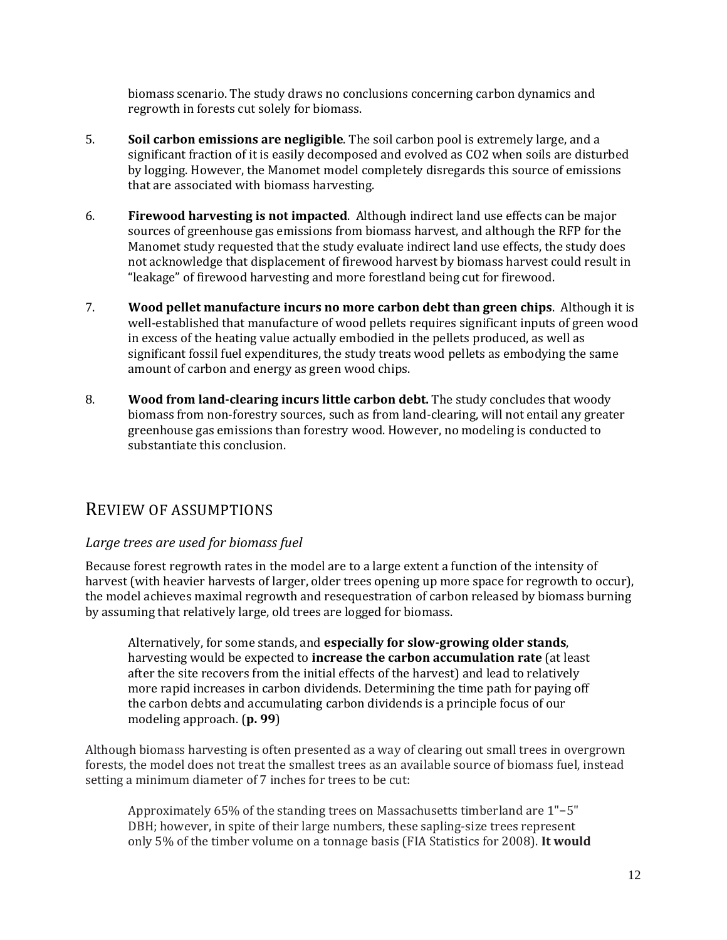biomass scenario. The study draws no conclusions concerning carbon dynamics and regrowth in forests cut solely for biomass.

- 5. **Soil carbon emissions are negligible**. The soil carbon pool is extremely large, and a significant fraction of it is easily decomposed and evolved as CO2 when soils are disturbed by logging. However, the Manomet model completely disregards this source of emissions that are associated with biomass harvesting.
- 6. **Firewood harvesting is not impacted**. Although indirect land use effects can be major sources of greenhouse gas emissions from biomass harvest, and although the RFP for the Manomet study requested that the study evaluate indirect land use effects, the study does not acknowledge that displacement of firewood harvest by biomass harvest could result in "leakage" of firewood harvesting and more forestland being cut for firewood.
- 7. **Wood pellet manufacture incurs no more carbon debt than green chips**. Although it is well-established that manufacture of wood pellets requires significant inputs of green wood in excess of the heating value actually embodied in the pellets produced, as well as significant fossil fuel expenditures, the study treats wood pellets as embodying the same amount of carbon and energy as green wood chips.
- 8. **Wood from landclearing incurs little carbon debt.** The study concludes that woody biomass from non‐forestry sources, such as from land‐clearing, will not entail any greater greenhouse gas emissions than forestry wood. However, no modeling is conducted to substantiate this conclusion.

### REVIEW OF ASSUMPTIONS

#### *Large trees are used for biomass fuel*

Because forest regrowth rates in the model are to a large extent a function of the intensity of harvest (with heavier harvests of larger, older trees opening up more space for regrowth to occur), the model achieves maximal regrowth and resequestration of carbon released by biomass burning by assuming that relatively large, old trees are logged for biomass.

Alternatively, for some stands, and **especially for slowgrowing older stands**, harvesting would be expected to **increase the carbon accumulation rate** (at least after the site recovers from the initial effects of the harvest) and lead to relatively more rapid increases in carbon dividends. Determining the time path for paying off the carbon debts and accumulating carbon dividends is a principle focus of our modeling approach. (**p. 99**)

Although biomass harvesting is often presented as a way of clearing out small trees in overgrown forests, the model does not treat the smallest trees as an available source of biomass fuel, instead setting a minimum diameter of 7 inches for trees to be cut:

Approximately 65% of the standing trees on Massachusetts timberland are 1"−5" DBH; however, in spite of their large numbers, these sapling-size trees represent only 5% of the timber volume on a tonnage basis (FIA Statistics for 2008). **It would**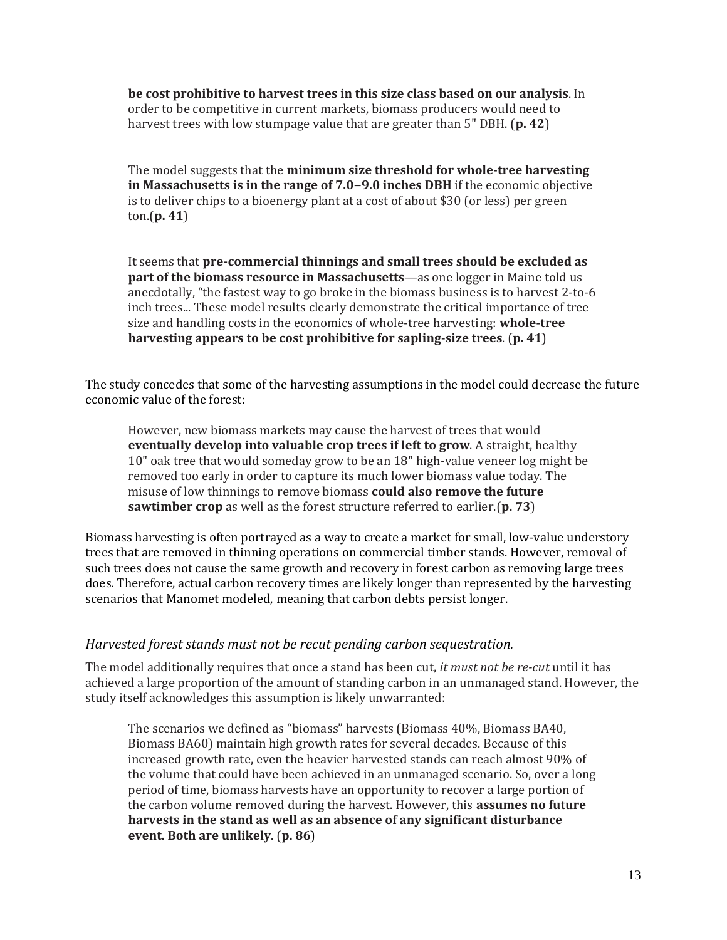**be cost prohibitive to harvest trees in this size class based on our analysis**. In order to be competitive in current markets, biomass producers would need to harvest trees with low stumpage value that are greater than 5" DBH. (**p. 42**)

The model suggests that the **minimum size threshold for wholetree harvesting in Massachusetts is in the range of 7.0−9.0 inches DBH** if the economic objective is to deliver chips to a bioenergy plant at a cost of about \$30 (or less) per green ton.(**p. 41**)

It seems that **precommercial thinnings and small trees should be excluded as part of the biomass resource in Massachusetts**—as one logger in Maine told us anecdotally, "the fastest way to go broke in the biomass business is to harvest 2‐to‐6 inch trees... These model results clearly demonstrate the critical importance of tree size and handling costs in the economics of whole‐tree harvesting: **wholetree harvesting appears to be cost prohibitive for saplingsize trees**. (**p. 41**)

The study concedes that some of the harvesting assumptions in the model could decrease the future economic value of the forest:

However, new biomass markets may cause the harvest of trees that would **eventually develop into valuable crop trees if left to grow**. A straight, healthy 10" oak tree that would someday grow to be an 18" high‐value veneer log might be removed too early in order to capture its much lower biomass value today. The misuse of low thinnings to remove biomass **could also remove the future sawtimber crop** as well as the forest structure referred to earlier.(**p. 73**)

Biomass harvesting is often portrayed as a way to create a market for small, low‐value understory trees that are removed in thinning operations on commercial timber stands. However, removal of such trees does not cause the same growth and recovery in forest carbon as removing large trees does. Therefore, actual carbon recovery times are likely longer than represented by the harvesting scenarios that Manomet modeled, meaning that carbon debts persist longer.

#### *Harvested forest stands must not be recut pending carbon sequestration.*

The model additionally requires that once a stand has been cut, *it must not be recut* until it has achieved a large proportion of the amount of standing carbon in an unmanaged stand. However, the study itself acknowledges this assumption is likely unwarranted:

The scenarios we defined as "biomass" harvests (Biomass 40%, Biomass BA40, Biomass BA60) maintain high growth rates for several decades. Because of this increased growth rate, even the heavier harvested stands can reach almost 90% of the volume that could have been achieved in an unmanaged scenario. So, over a long period of time, biomass harvests have an opportunity to recover a large portion of the carbon volume removed during the harvest. However, this **assumes no future harvests in the stand as well as an absence of any significant disturbance event. Both are unlikely**. (**p. 86**)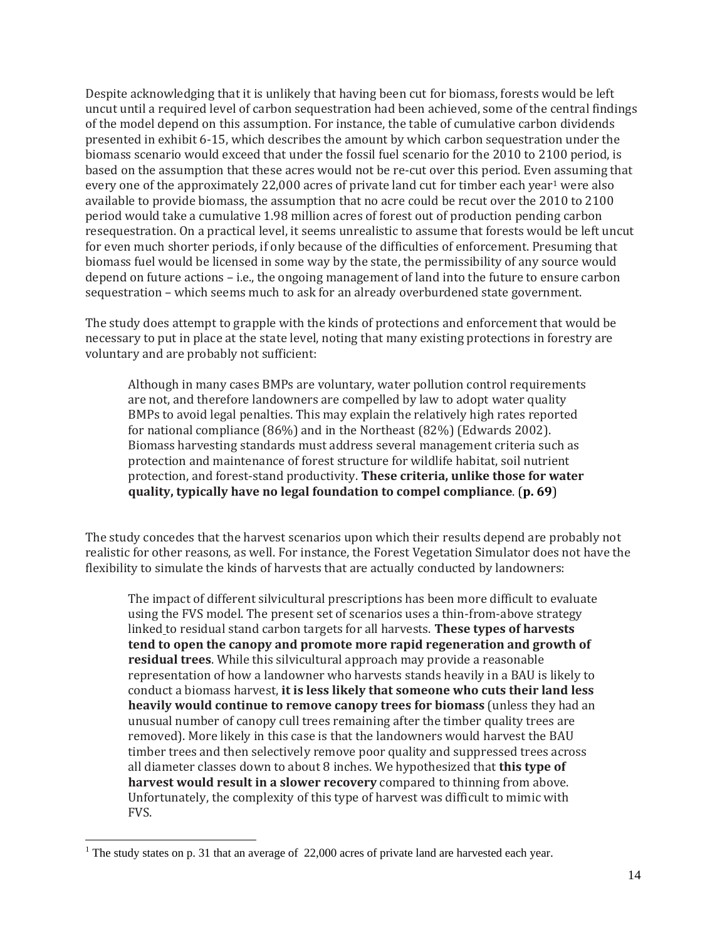Despite acknowledging that it is unlikely that having been cut for biomass, forests would be left uncut until a required level of carbon sequestration had been achieved, some of the central findings of the model depend on this assumption. For instance, the table of cumulative carbon dividends presented in exhibit 6‐15, which describes the amount by which carbon sequestration under the biomass scenario would exceed that under the fossil fuel scenario for the 2010 to 2100 period, is based on the assumption that these acres would not be re‐cut over this period. Even assuming that every one of the approximately 22,000 acres of private land cut for timber each year<sup>1</sup> were also available to provide biomass, the assumption that no acre could be recut over the 2010 to 2100 period would take a cumulative 1.98 million acres of forest out of production pending carbon resequestration. On a practical level, it seems unrealistic to assume that forests would be left uncut for even much shorter periods, if only because of the difficulties of enforcement. Presuming that biomass fuel would be licensed in some way by the state, the permissibility of any source would depend on future actions – i.e., the ongoing management of land into the future to ensure carbon sequestration – which seems much to ask for an already overburdened state government.

The study does attempt to grapple with the kinds of protections and enforcement that would be necessary to put in place at the state level, noting that many existing protections in forestry are voluntary and are probably not sufficient:

Although in many cases BMPs are voluntary, water pollution control requirements are not, and therefore landowners are compelled by law to adopt water quality BMPs to avoid legal penalties. This may explain the relatively high rates reported for national compliance (86%) and in the Northeast (82%) (Edwards 2002). Biomass harvesting standards must address several management criteria such as protection and maintenance of forest structure for wildlife habitat, soil nutrient protection, and forest‐stand productivity. **These criteria, unlike those for water quality, typically have no legal foundation to compel compliance**. (**p. 69**)

The study concedes that the harvest scenarios upon which their results depend are probably not realistic for other reasons, as well. For instance, the Forest Vegetation Simulator does not have the flexibility to simulate the kinds of harvests that are actually conducted by landowners:

The impact of different silvicultural prescriptions has been more difficult to evaluate using the FVS model. The present set of scenarios uses a thin‐from‐above strategy linked to residual stand carbon targets for all harvests. **These types of harvests tend to open the canopy and promote more rapid regeneration and growth of residual trees**. While this silvicultural approach may provide a reasonable representation of how a landowner who harvests stands heavily in a BAU is likely to conduct a biomass harvest, **it is less likely that someone who cuts their land less heavily would continue to remove canopy trees for biomass** (unless they had an unusual number of canopy cull trees remaining after the timber quality trees are removed). More likely in this case is that the landowners would harvest the BAU timber trees and then selectively remove poor quality and suppressed trees across all diameter classes down to about 8 inches. We hypothesized that **this type of harvest would result in a slower recovery** compared to thinning from above. Unfortunately, the complexity of this type of harvest was difficult to mimic with FVS.

1

<sup>&</sup>lt;sup>1</sup> The study states on p. 31 that an average of  $22,000$  acres of private land are harvested each year.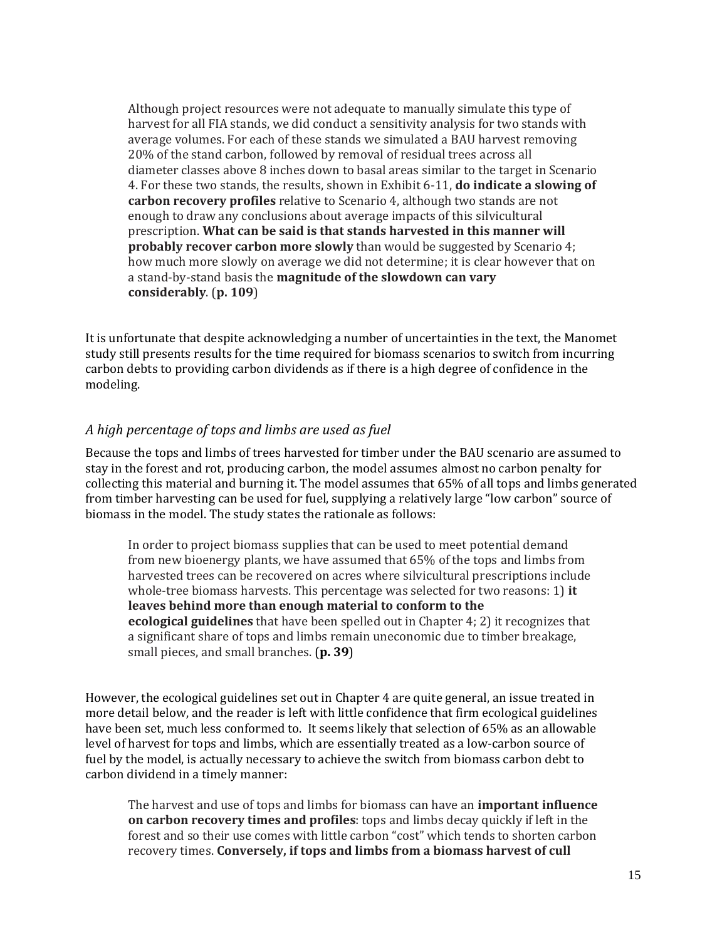Although project resources were not adequate to manually simulate this type of harvest for all FIA stands, we did conduct a sensitivity analysis for two stands with average volumes. For each of these stands we simulated a BAU harvest removing 20% of the stand carbon, followed by removal of residual trees across all diameter classes above 8 inches down to basal areas similar to the target in Scenario 4. For these two stands, the results, shown in Exhibit 6‐11, **do indicate a slowing of carbon recovery profiles** relative to Scenario 4, although two stands are not enough to draw any conclusions about average impacts of this silvicultural prescription. **What can be said is that stands harvested in this manner will probably recover carbon more slowly** than would be suggested by Scenario 4; how much more slowly on average we did not determine; it is clear however that on a stand‐by‐stand basis the **magnitude of the slowdown can vary considerably**. (**p. 109**)

It is unfortunate that despite acknowledging a number of uncertainties in the text, the Manomet study still presents results for the time required for biomass scenarios to switch from incurring carbon debts to providing carbon dividends as if there is a high degree of confidence in the modeling.

#### *A high percentage of tops and limbs are used as fuel*

Because the tops and limbs of trees harvested for timber under the BAU scenario are assumed to stay in the forest and rot, producing carbon, the model assumes almost no carbon penalty for collecting this material and burning it. The model assumes that 65% of all tops and limbs generated from timber harvesting can be used for fuel, supplying a relatively large "low carbon" source of biomass in the model. The study states the rationale as follows:

In order to project biomass supplies that can be used to meet potential demand from new bioenergy plants, we have assumed that 65% of the tops and limbs from harvested trees can be recovered on acres where silvicultural prescriptions include whole‐tree biomass harvests. This percentage was selected for two reasons: 1) **it leaves behind more than enough material to conform to the ecological guidelines** that have been spelled out in Chapter 4; 2) it recognizes that a significant share of tops and limbs remain uneconomic due to timber breakage, small pieces, and small branches. (**p. 39**)

However, the ecological guidelines set out in Chapter 4 are quite general, an issue treated in more detail below, and the reader is left with little confidence that firm ecological guidelines have been set, much less conformed to. It seems likely that selection of 65% as an allowable level of harvest for tops and limbs, which are essentially treated as a low‐carbon source of fuel by the model, is actually necessary to achieve the switch from biomass carbon debt to carbon dividend in a timely manner:

The harvest and use of tops and limbs for biomass can have an **important influence on carbon recovery times and profiles**: tops and limbs decay quickly if left in the forest and so their use comes with little carbon "cost" which tends to shorten carbon recovery times. **Conversely, if tops and limbs from a biomass harvest of cull**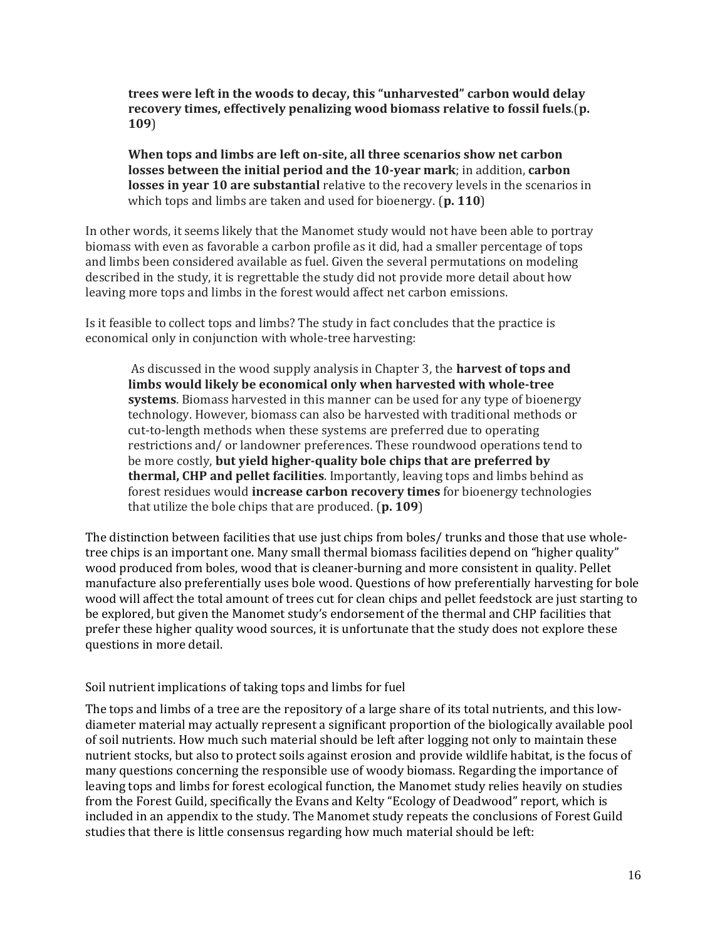**trees were left in the woods to decay, this "unharvested" carbon would delay recovery times, effectively penalizing wood biomass relative to fossil fuels**.(**p. 109**)

**When tops and limbs are left onsite, all three scenarios show net carbon losses between the initial period and the 10year mark**; in addition, **carbon losses in year 10 are substantial** relative to the recovery levels in the scenarios in which tops and limbs are taken and used for bioenergy. (**p. 110**)

In other words, it seems likely that the Manomet study would not have been able to portray biomass with even as favorable a carbon profile as it did, had a smaller percentage of tops and limbs been considered available as fuel. Given the several permutations on modeling described in the study, it is regrettable the study did not provide more detail about how leaving more tops and limbs in the forest would affect net carbon emissions.

Is it feasible to collect tops and limbs? The study in fact concludes that the practice is economical only in conjunction with whole-tree harvesting:

 As discussed in the wood supply analysis in Chapter 3, the **harvest of tops and limbs would likely be economical only when harvested with wholetree systems**. Biomass harvested in this manner can be used for any type of bioenergy technology. However, biomass can also be harvested with traditional methods or cut-to-length methods when these systems are preferred due to operating restrictions and/ or landowner preferences. These roundwood operations tend to be more costly, **but yield higherquality bole chips that are preferred by thermal, CHP and pellet facilities**. Importantly, leaving tops and limbs behind as forest residues would **increase carbon recovery times** for bioenergy technologies that utilize the bole chips that are produced. (**p. 109**)

The distinction between facilities that use just chips from boles/ trunks and those that use wholetree chips is an important one. Many small thermal biomass facilities depend on "higher quality" wood produced from boles, wood that is cleaner‐burning and more consistent in quality. Pellet manufacture also preferentially uses bole wood. Questions of how preferentially harvesting for bole wood will affect the total amount of trees cut for clean chips and pellet feedstock are just starting to be explored, but given the Manomet study's endorsement of the thermal and CHP facilities that prefer these higher quality wood sources, it is unfortunate that the study does not explore these questions in more detail.

#### Soil nutrient implications of taking tops and limbs for fuel

The tops and limbs of a tree are the repository of a large share of its total nutrients, and this low‐ diameter material may actually represent a significant proportion of the biologically available pool of soil nutrients. How much such material should be left after logging not only to maintain these nutrient stocks, but also to protect soils against erosion and provide wildlife habitat, is the focus of many questions concerning the responsible use of woody biomass. Regarding the importance of leaving tops and limbs for forest ecological function, the Manomet study relies heavily on studies from the Forest Guild, specifically the Evans and Kelty "Ecology of Deadwood" report, which is included in an appendix to the study. The Manomet study repeats the conclusions of Forest Guild studies that there is little consensus regarding how much material should be left: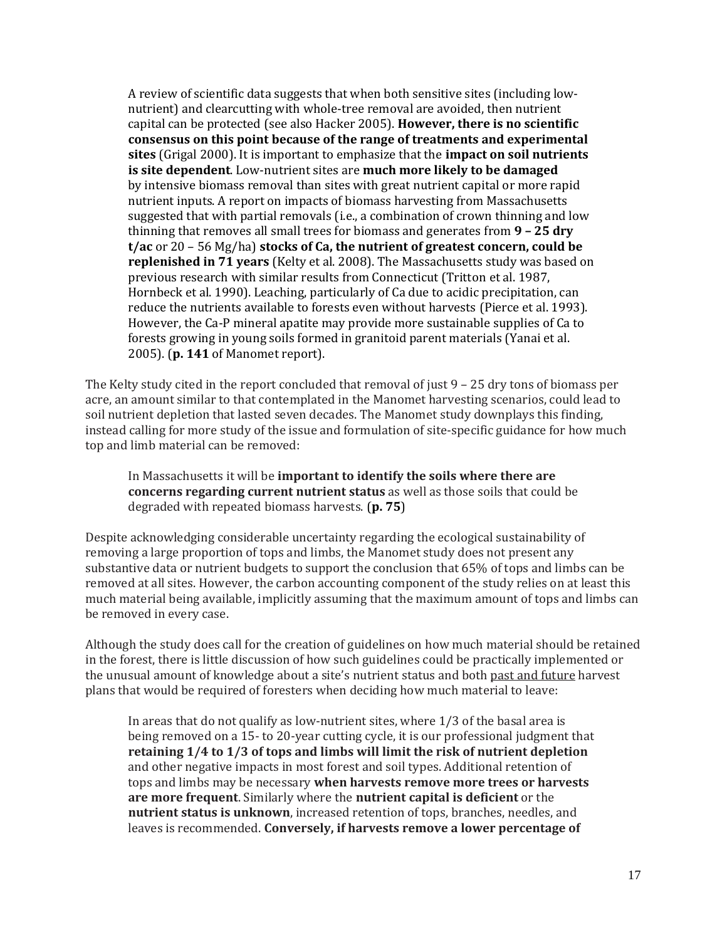A review of scientific data suggests that when both sensitive sites (including low‐ nutrient) and clearcutting with whole‐tree removal are avoided, then nutrient capital can be protected (see also Hacker 2005). **However, there is no scientific consensus on this point because of the range of treatments and experimental sites** (Grigal 2000). It is important to emphasize that the **impact on soil nutrients is site dependent**. Low‐nutrient sites are **much more likely to be damaged** by intensive biomass removal than sites with great nutrient capital or more rapid nutrient inputs. A report on impacts of biomass harvesting from Massachusetts suggested that with partial removals (i.e., a combination of crown thinning and low thinning that removes all small trees for biomass and generates from **9 – 25 dry t/ac** or 20 – 56 Mg/ha) **stocks of Ca, the nutrient of greatest concern, could be replenished in 71 years** (Kelty et al. 2008). The Massachusetts study was based on previous research with similar results from Connecticut (Tritton et al. 1987, Hornbeck et al. 1990). Leaching, particularly of Ca due to acidic precipitation, can reduce the nutrients available to forests even without harvests (Pierce et al. 1993). However, the Ca‐P mineral apatite may provide more sustainable supplies of Ca to forests growing in young soils formed in granitoid parent materials (Yanai et al. 2005). (**p. 141** of Manomet report).

The Kelty study cited in the report concluded that removal of just 9 – 25 dry tons of biomass per acre, an amount similar to that contemplated in the Manomet harvesting scenarios, could lead to soil nutrient depletion that lasted seven decades. The Manomet study downplays this finding, instead calling for more study of the issue and formulation of site-specific guidance for how much top and limb material can be removed:

In Massachusetts it will be **important to identify the soils where there are concerns regarding current nutrient status** as well as those soils that could be degraded with repeated biomass harvests. (**p. 75**)

Despite acknowledging considerable uncertainty regarding the ecological sustainability of removing a large proportion of tops and limbs, the Manomet study does not present any substantive data or nutrient budgets to support the conclusion that 65% of tops and limbs can be removed at all sites. However, the carbon accounting component of the study relies on at least this much material being available, implicitly assuming that the maximum amount of tops and limbs can be removed in every case.

Although the study does call for the creation of guidelines on how much material should be retained in the forest, there is little discussion of how such guidelines could be practically implemented or the unusual amount of knowledge about a site's nutrient status and both past and future harvest plans that would be required of foresters when deciding how much material to leave:

In areas that do not qualify as low-nutrient sites, where  $1/3$  of the basal area is being removed on a 15‐ to 20‐year cutting cycle, it is our professional judgment that **retaining 1/4 to 1/3 of tops and limbs will limit the risk of nutrient depletion** and other negative impacts in most forest and soil types. Additional retention of tops and limbs may be necessary **when harvests remove more trees or harvests are more frequent**. Similarly where the **nutrient capital is deficient** or the **nutrient status is unknown**, increased retention of tops, branches, needles, and leaves is recommended. **Conversely, if harvests remove a lower percentage of**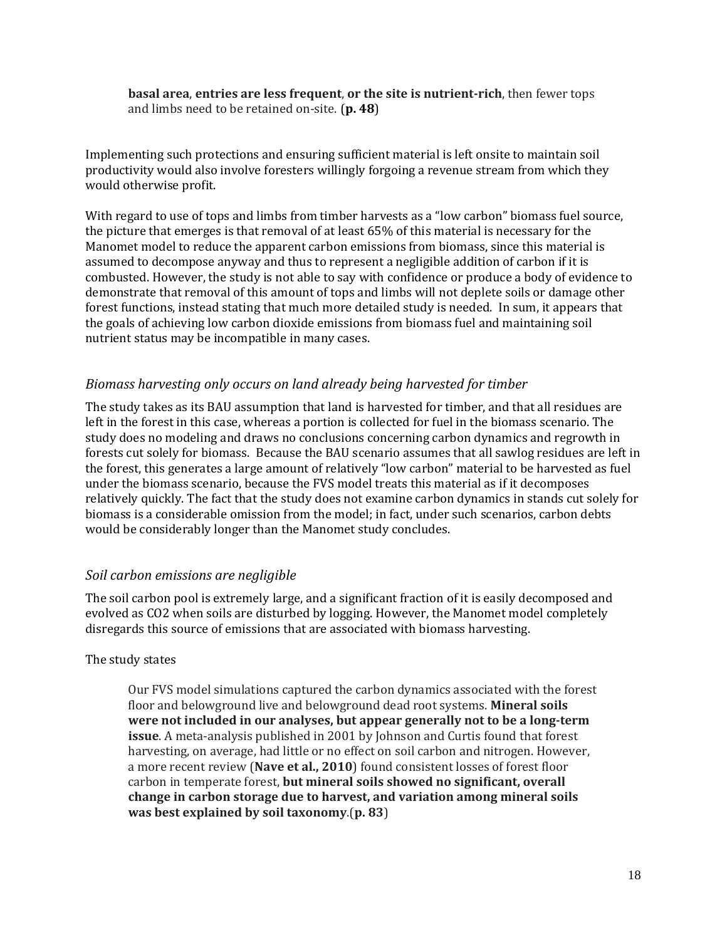**basal area**, **entries are less frequent**, **or the site is nutrientrich**, then fewer tops and limbs need to be retained on‐site. (**p. 48**)

Implementing such protections and ensuring sufficient material is left onsite to maintain soil productivity would also involve foresters willingly forgoing a revenue stream from which they would otherwise profit.

With regard to use of tops and limbs from timber harvests as a "low carbon" biomass fuel source, the picture that emerges is that removal of at least 65% of this material is necessary for the Manomet model to reduce the apparent carbon emissions from biomass, since this material is assumed to decompose anyway and thus to represent a negligible addition of carbon if it is combusted. However, the study is not able to say with confidence or produce a body of evidence to demonstrate that removal of this amount of tops and limbs will not deplete soils or damage other forest functions, instead stating that much more detailed study is needed. In sum, it appears that the goals of achieving low carbon dioxide emissions from biomass fuel and maintaining soil nutrient status may be incompatible in many cases.

#### *Biomass harvesting only occurs on land already being harvested for timber*

The study takes as its BAU assumption that land is harvested for timber, and that all residues are left in the forest in this case, whereas a portion is collected for fuel in the biomass scenario. The study does no modeling and draws no conclusions concerning carbon dynamics and regrowth in forests cut solely for biomass. Because the BAU scenario assumes that all sawlog residues are left in the forest, this generates a large amount of relatively "low carbon" material to be harvested as fuel under the biomass scenario, because the FVS model treats this material as if it decomposes relatively quickly. The fact that the study does not examine carbon dynamics in stands cut solely for biomass is a considerable omission from the model; in fact, under such scenarios, carbon debts would be considerably longer than the Manomet study concludes.

#### *Soil carbon emissions are negligible*

The soil carbon pool is extremely large, and a significant fraction of it is easily decomposed and evolved as CO2 when soils are disturbed by logging. However, the Manomet model completely disregards this source of emissions that are associated with biomass harvesting.

#### The study states

Our FVS model simulations captured the carbon dynamics associated with the forest floor and belowground live and belowground dead root systems. **Mineral soils were not included in our analyses, but appear generally not to be a longterm issue**. A meta-analysis published in 2001 by Johnson and Curtis found that forest harvesting, on average, had little or no effect on soil carbon and nitrogen. However, a more recent review (**Nave et al., 2010**) found consistent losses of forest floor carbon in temperate forest, **but mineral soils showed no significant, overall change in carbon storage due to harvest, and variation among mineral soils was best explained by soil taxonomy**.(**p. 83**)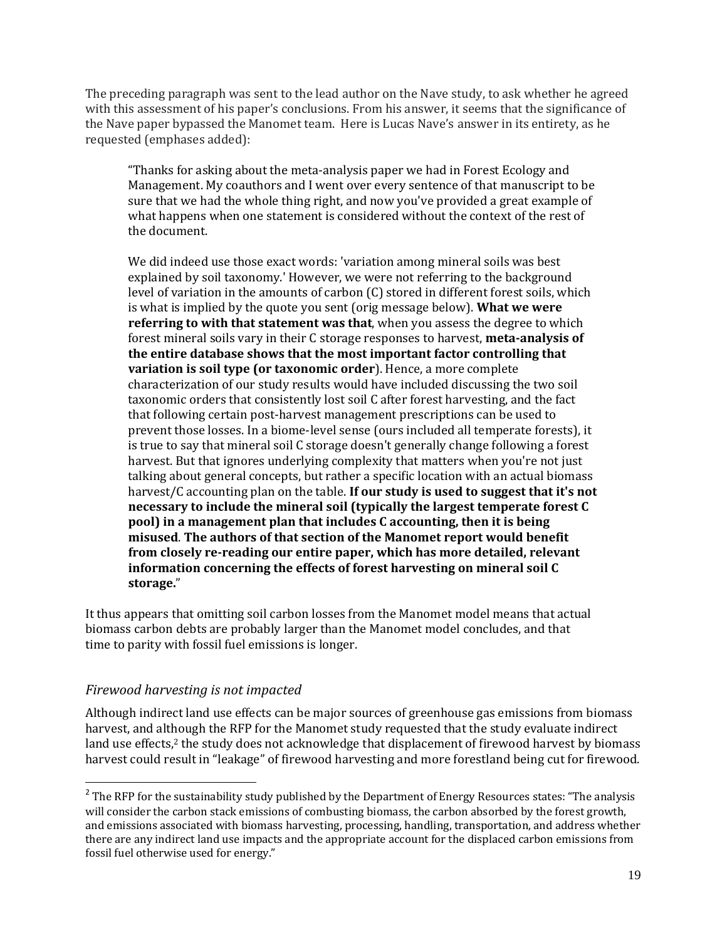The preceding paragraph was sent to the lead author on the Nave study, to ask whether he agreed with this assessment of his paper's conclusions. From his answer, it seems that the significance of the Nave paper bypassed the Manomet team. Here is Lucas Nave's answer in its entirety, as he requested (emphases added):

"Thanks for asking about the meta‐analysis paper we had in Forest Ecology and Management. My coauthors and I went over every sentence of that manuscript to be sure that we had the whole thing right, and now you've provided a great example of what happens when one statement is considered without the context of the rest of the document.

We did indeed use those exact words: 'variation among mineral soils was best explained by soil taxonomy.' However, we were not referring to the background level of variation in the amounts of carbon (C) stored in different forest soils, which is what is implied by the quote you sent (orig message below). **What we were referring to with that statement was that**, when you assess the degree to which forest mineral soils vary in their C storage responses to harvest, **metaanalysis of the entire database shows that the most important factor controlling that variation is soil type (or taxonomic order**). Hence, a more complete characterization of our study results would have included discussing the two soil taxonomic orders that consistently lost soil C after forest harvesting, and the fact that following certain post‐harvest management prescriptions can be used to prevent those losses. In a biome‐level sense (ours included all temperate forests), it is true to say that mineral soil C storage doesn't generally change following a forest harvest. But that ignores underlying complexity that matters when you're not just talking about general concepts, but rather a specific location with an actual biomass harvest/C accounting plan on the table. **If our study is used to suggest that it's not necessary to include the mineral soil (typically the largest temperate forest C pool) in a management plan that includes C accounting, then it is being misused**. **The authors of that section of the Manomet report would benefit from closely rereading our entire paper, which has more detailed, relevant information concerning the effects of forest harvesting on mineral soil C storage.**"

It thus appears that omitting soil carbon losses from the Manomet model means that actual biomass carbon debts are probably larger than the Manomet model concludes, and that time to parity with fossil fuel emissions is longer.

#### *Firewood harvesting is not impacted*

l

Although indirect land use effects can be major sources of greenhouse gas emissions from biomass harvest, and although the RFP for the Manomet study requested that the study evaluate indirect land use effects,<sup>2</sup> the study does not acknowledge that displacement of firewood harvest by biomass harvest could result in "leakage" of firewood harvesting and more forestland being cut for firewood.

<sup>&</sup>lt;sup>2</sup> The RFP for the sustainability study published by the Department of Energy Resources states: "The analysis will consider the carbon stack emissions of combusting biomass, the carbon absorbed by the forest growth, and emissions associated with biomass harvesting, processing, handling, transportation, and address whether there are any indirect land use impacts and the appropriate account for the displaced carbon emissions from fossil fuel otherwise used for energy."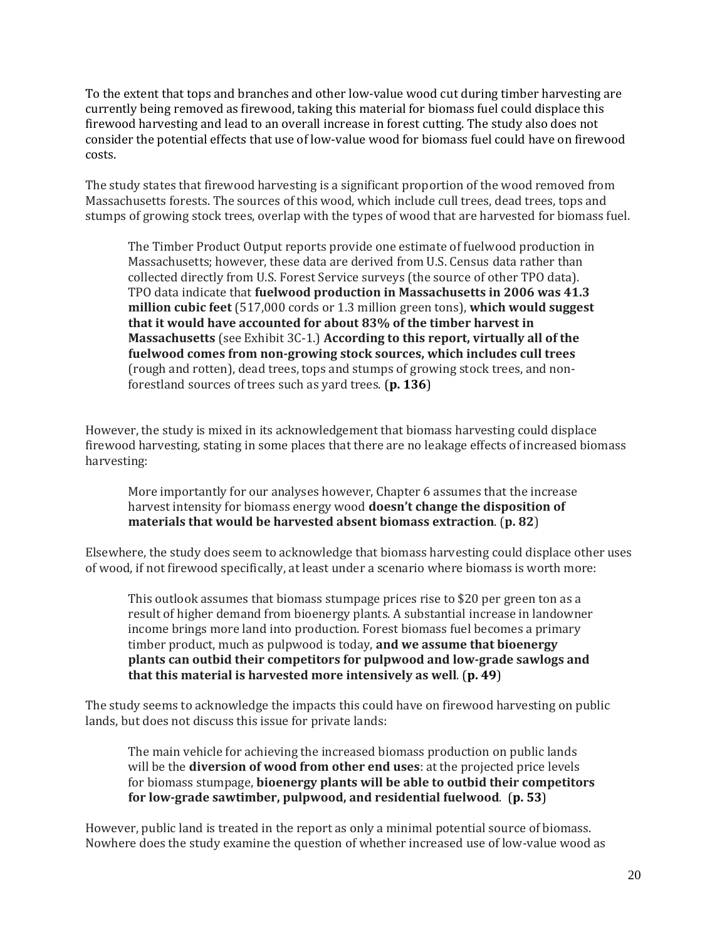To the extent that tops and branches and other low‐value wood cut during timber harvesting are currently being removed as firewood, taking this material for biomass fuel could displace this firewood harvesting and lead to an overall increase in forest cutting. The study also does not consider the potential effects that use of low‐value wood for biomass fuel could have on firewood costs.

The study states that firewood harvesting is a significant proportion of the wood removed from Massachusetts forests. The sources of this wood, which include cull trees, dead trees, tops and stumps of growing stock trees, overlap with the types of wood that are harvested for biomass fuel.

The Timber Product Output reports provide one estimate of fuelwood production in Massachusetts; however, these data are derived from U.S. Census data rather than collected directly from U.S. Forest Service surveys (the source of other TPO data). TPO data indicate that **fuelwood production in Massachusetts in 2006 was 41.3 million cubic feet** (517,000 cords or 1.3 million green tons), **which would suggest that it would have accounted for about 83% of the timber harvest in Massachusetts** (see Exhibit 3C‐1.) **According to this report, virtually all of the fuelwood comes from nongrowing stock sources, which includes cull trees** (rough and rotten), dead trees, tops and stumps of growing stock trees, and non‐ forestland sources of trees such as yard trees. (**p. 136**)

However, the study is mixed in its acknowledgement that biomass harvesting could displace firewood harvesting, stating in some places that there are no leakage effects of increased biomass harvesting:

More importantly for our analyses however, Chapter 6 assumes that the increase harvest intensity for biomass energy wood **doesn't change the disposition of materials that would be harvested absent biomass extraction**. (**p. 82**)

Elsewhere, the study does seem to acknowledge that biomass harvesting could displace other uses of wood, if not firewood specifically, at least under a scenario where biomass is worth more:

This outlook assumes that biomass stumpage prices rise to \$20 per green ton as a result of higher demand from bioenergy plants. A substantial increase in landowner income brings more land into production. Forest biomass fuel becomes a primary timber product, much as pulpwood is today, **and we assume that bioenergy plants can outbid their competitors for pulpwood and lowgrade sawlogs and that this material is harvested more intensively as well**. (**p. 49**)

The study seems to acknowledge the impacts this could have on firewood harvesting on public lands, but does not discuss this issue for private lands:

The main vehicle for achieving the increased biomass production on public lands will be the **diversion of wood from other end uses**: at the projected price levels for biomass stumpage, **bioenergy plants will be able to outbid their competitors for lowgrade sawtimber, pulpwood, and residential fuelwood**. (**p. 53**)

However, public land is treated in the report as only a minimal potential source of biomass. Nowhere does the study examine the question of whether increased use of low‐value wood as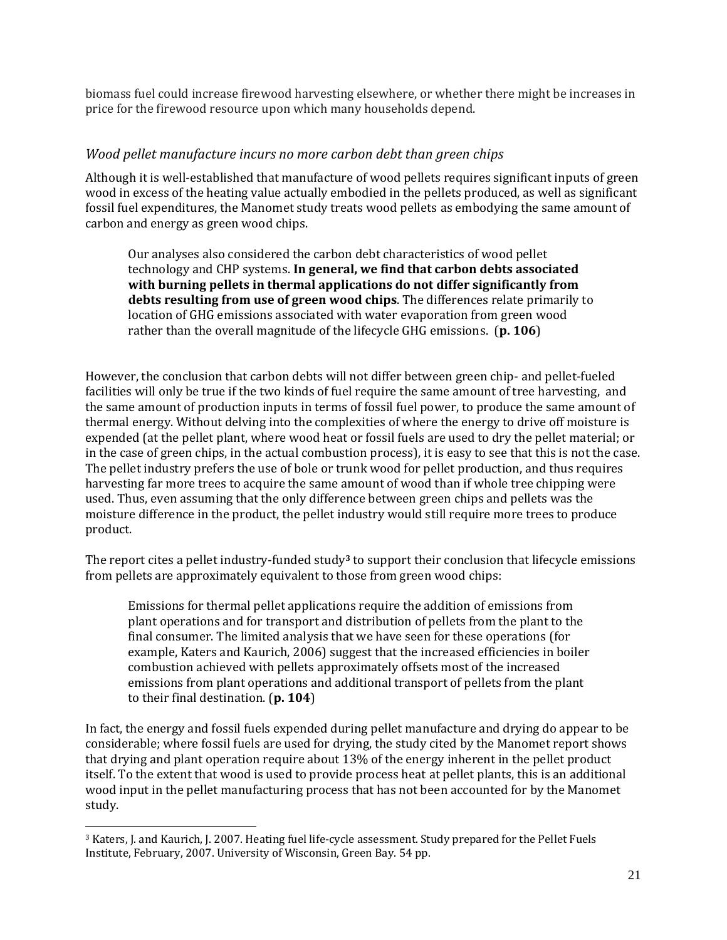biomass fuel could increase firewood harvesting elsewhere, or whether there might be increases in price for the firewood resource upon which many households depend.

#### *Wood pellet manufacture incurs no more carbon debt than green chips*

Although it is well‐established that manufacture of wood pellets requires significant inputs of green wood in excess of the heating value actually embodied in the pellets produced, as well as significant fossil fuel expenditures, the Manomet study treats wood pellets as embodying the same amount of carbon and energy as green wood chips.

Our analyses also considered the carbon debt characteristics of wood pellet technology and CHP systems. **In general, we find that carbon debts associated with burning pellets in thermal applications do not differ significantly from debts resulting from use of green wood chips**. The differences relate primarily to location of GHG emissions associated with water evaporation from green wood rather than the overall magnitude of the lifecycle GHG emissions. (**p. 106**)

However, the conclusion that carbon debts will not differ between green chip- and pellet-fueled facilities will only be true if the two kinds of fuel require the same amount of tree harvesting, and the same amount of production inputs in terms of fossil fuel power, to produce the same amount of thermal energy. Without delving into the complexities of where the energy to drive off moisture is expended (at the pellet plant, where wood heat or fossil fuels are used to dry the pellet material; or in the case of green chips, in the actual combustion process), it is easy to see that this is not the case. The pellet industry prefers the use of bole or trunk wood for pellet production, and thus requires harvesting far more trees to acquire the same amount of wood than if whole tree chipping were used. Thus, even assuming that the only difference between green chips and pellets was the moisture difference in the product, the pellet industry would still require more trees to produce product.

The report cites a pellet industry‐funded study**3** to support their conclusion that lifecycle emissions from pellets are approximately equivalent to those from green wood chips:

Emissions for thermal pellet applications require the addition of emissions from plant operations and for transport and distribution of pellets from the plant to the final consumer. The limited analysis that we have seen for these operations (for example, Katers and Kaurich, 2006) suggest that the increased efficiencies in boiler combustion achieved with pellets approximately offsets most of the increased emissions from plant operations and additional transport of pellets from the plant to their final destination. (**p. 104**)

In fact, the energy and fossil fuels expended during pellet manufacture and drying do appear to be considerable; where fossil fuels are used for drying, the study cited by the Manomet report shows that drying and plant operation require about 13% of the energy inherent in the pellet product itself. To the extent that wood is used to provide process heat at pellet plants, this is an additional wood input in the pellet manufacturing process that has not been accounted for by the Manomet study.

1

<sup>3</sup> Katers, J. and Kaurich, J. 2007. Heating fuel life‐cycle assessment. Study prepared for the Pellet Fuels Institute, February, 2007. University of Wisconsin, Green Bay. 54 pp.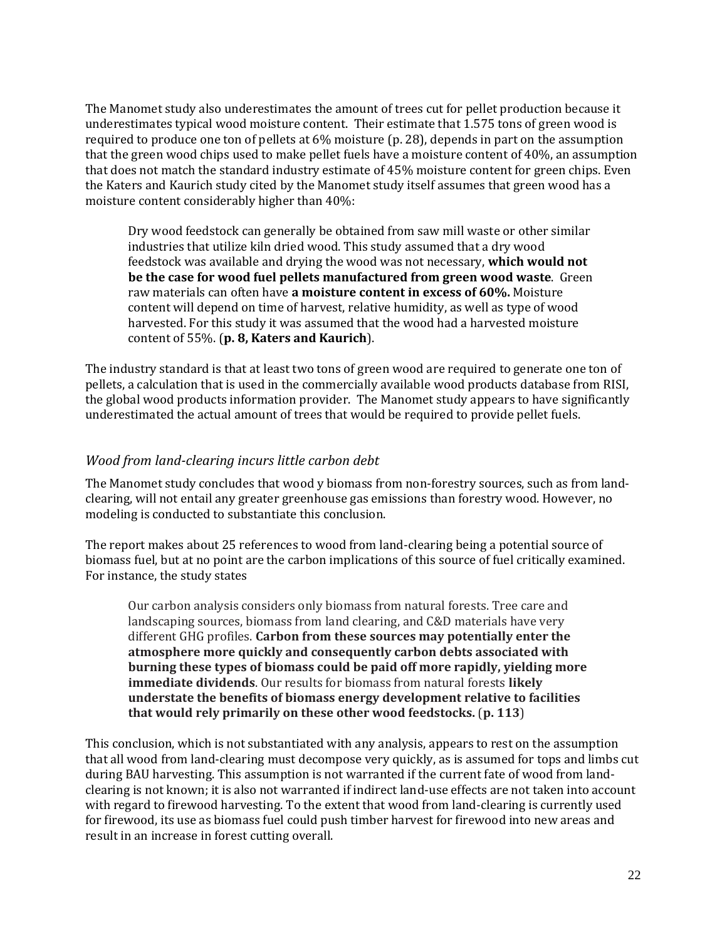The Manomet study also underestimates the amount of trees cut for pellet production because it underestimates typical wood moisture content. Their estimate that 1.575 tons of green wood is required to produce one ton of pellets at 6% moisture (p. 28), depends in part on the assumption that the green wood chips used to make pellet fuels have a moisture content of 40%, an assumption that does not match the standard industry estimate of 45% moisture content for green chips. Even the Katers and Kaurich study cited by the Manomet study itself assumes that green wood has a moisture content considerably higher than 40%:

Dry wood feedstock can generally be obtained from saw mill waste or other similar industries that utilize kiln dried wood. This study assumed that a dry wood feedstock was available and drying the wood was not necessary, **which would not be the case for wood fuel pellets manufactured from green wood waste**. Green raw materials can often have **a moisture content in excess of 60%.** Moisture content will depend on time of harvest, relative humidity, as well as type of wood harvested. For this study it was assumed that the wood had a harvested moisture content of 55%. (**p. 8, Katers and Kaurich**).

The industry standard is that at least two tons of green wood are required to generate one ton of pellets, a calculation that is used in the commercially available wood products database from RISI, the global wood products information provider. The Manomet study appears to have significantly underestimated the actual amount of trees that would be required to provide pellet fuels.

#### *Wood from landclearing incurs little carbon debt*

The Manomet study concludes that wood y biomass from non-forestry sources, such as from landclearing, will not entail any greater greenhouse gas emissions than forestry wood. However, no modeling is conducted to substantiate this conclusion.

The report makes about 25 references to wood from land‐clearing being a potential source of biomass fuel, but at no point are the carbon implications of this source of fuel critically examined. For instance, the study states

Our carbon analysis considers only biomass from natural forests. Tree care and landscaping sources, biomass from land clearing, and C&D materials have very different GHG profiles. **Carbon from these sources may potentially enter the atmosphere more quickly and consequently carbon debts associated with burning these types of biomass could be paid off more rapidly, yielding more immediate dividends**. Our results for biomass from natural forests **likely understate the benefits of biomass energy development relative to facilities that would rely primarily on these other wood feedstocks.** (**p. 113**)

This conclusion, which is not substantiated with any analysis, appears to rest on the assumption that all wood from land‐clearing must decompose very quickly, as is assumed for tops and limbs cut during BAU harvesting. This assumption is not warranted if the current fate of wood from land‐ clearing is not known; it is also not warranted if indirect land‐use effects are not taken into account with regard to firewood harvesting. To the extent that wood from land-clearing is currently used for firewood, its use as biomass fuel could push timber harvest for firewood into new areas and result in an increase in forest cutting overall.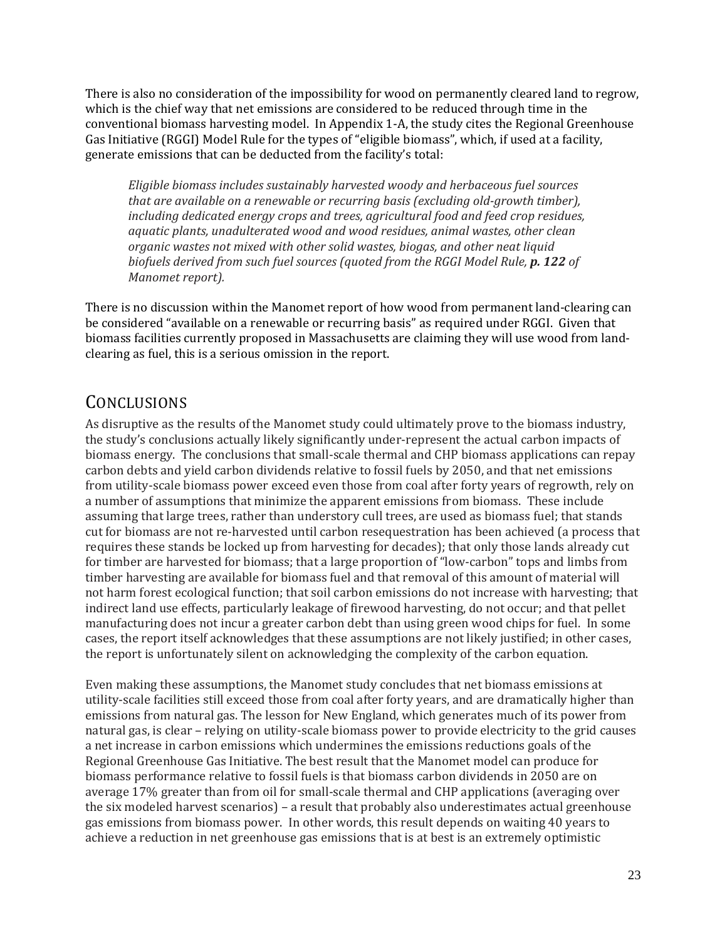There is also no consideration of the impossibility for wood on permanently cleared land to regrow, which is the chief way that net emissions are considered to be reduced through time in the conventional biomass harvesting model. In Appendix 1‐A, the study cites the Regional Greenhouse Gas Initiative (RGGI) Model Rule for the types of "eligible biomass", which, if used at a facility, generate emissions that can be deducted from the facility's total:

*Eligible biomass includes sustainably harvested woody and herbaceous fuel sources that are available on a renewable or recurring basis (excluding oldgrowth timber), including dedicated energy crops and trees, agricultural food and feed crop residues, aquatic plants, unadulterated wood and wood residues, animal wastes, other clean organic wastes not mixed with other solid wastes, biogas, and other neat liquid biofuels derived from such fuel sources (quoted from the RGGI Model Rule, p. 122 of Manomet report).*

There is no discussion within the Manomet report of how wood from permanent land‐clearing can be considered "available on a renewable or recurring basis" as required under RGGI. Given that biomass facilities currently proposed in Massachusetts are claiming they will use wood from land‐ clearing as fuel, this is a serious omission in the report.

## **CONCLUSIONS**

As disruptive as the results of the Manomet study could ultimately prove to the biomass industry, the study's conclusions actually likely significantly under‐represent the actual carbon impacts of biomass energy. The conclusions that small‐scale thermal and CHP biomass applications can repay carbon debts and yield carbon dividends relative to fossil fuels by 2050, and that net emissions from utility-scale biomass power exceed even those from coal after forty years of regrowth, rely on a number of assumptions that minimize the apparent emissions from biomass. These include assuming that large trees, rather than understory cull trees, are used as biomass fuel; that stands cut for biomass are not re‐harvested until carbon resequestration has been achieved (a process that requires these stands be locked up from harvesting for decades); that only those lands already cut for timber are harvested for biomass; that a large proportion of "low‐carbon" tops and limbs from timber harvesting are available for biomass fuel and that removal of this amount of material will not harm forest ecological function; that soil carbon emissions do not increase with harvesting; that indirect land use effects, particularly leakage of firewood harvesting, do not occur; and that pellet manufacturing does not incur a greater carbon debt than using green wood chips for fuel. In some cases, the report itself acknowledges that these assumptions are not likely justified; in other cases, the report is unfortunately silent on acknowledging the complexity of the carbon equation.

Even making these assumptions, the Manomet study concludes that net biomass emissions at utility‐scale facilities still exceed those from coal after forty years, and are dramatically higher than emissions from natural gas. The lesson for New England, which generates much of its power from natural gas, is clear – relying on utility-scale biomass power to provide electricity to the grid causes a net increase in carbon emissions which undermines the emissions reductions goals of the Regional Greenhouse Gas Initiative. The best result that the Manomet model can produce for biomass performance relative to fossil fuels is that biomass carbon dividends in 2050 are on average 17% greater than from oil for small-scale thermal and CHP applications (averaging over the six modeled harvest scenarios) – a result that probably also underestimates actual greenhouse gas emissions from biomass power. In other words, this result depends on waiting 40 years to achieve a reduction in net greenhouse gas emissions that is at best is an extremely optimistic